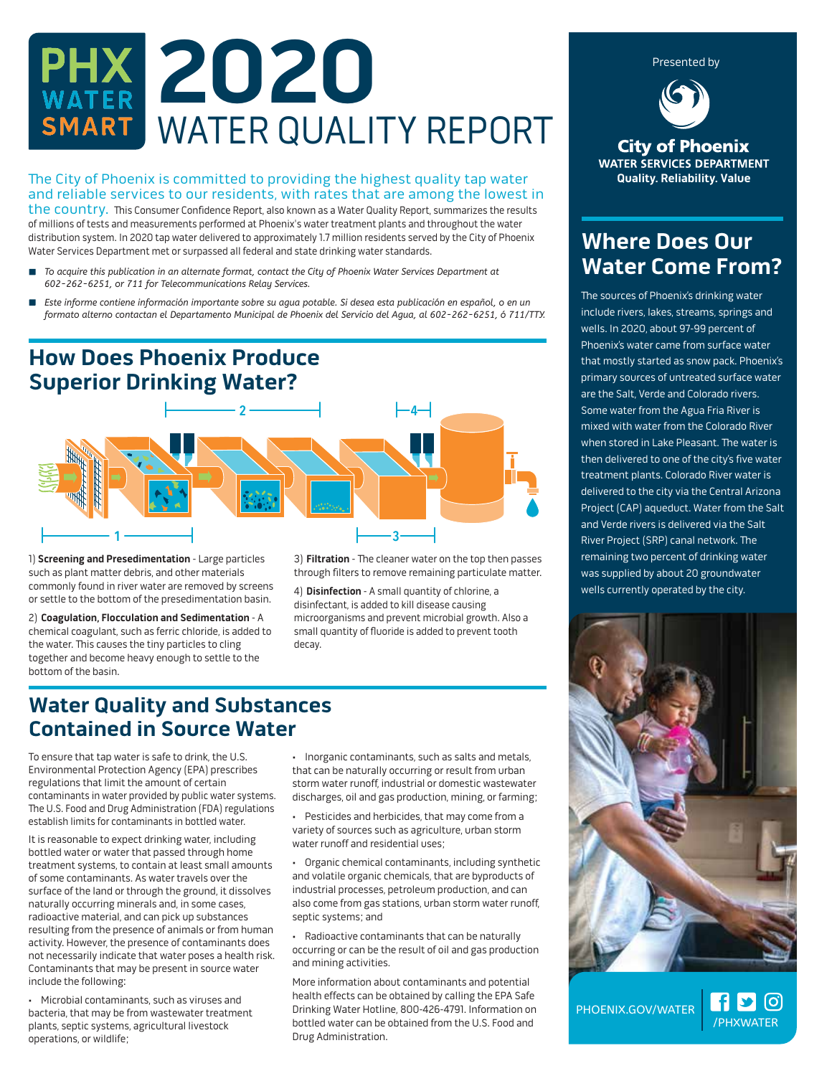# **2020** WATER QUALITY REPORT

The City of Phoenix is committed to providing the highest quality tap water **Quality. Reliability. Value** and reliable services to our residents, with rates that are among the lowest in the country. This Consumer Confidence Report, also known as a Water Quality Report, summarizes the results of millions of tests and measurements performed at Phoenix's water treatment plants and throughout the water distribution system. In 2020 tap water delivered to approximately 1.7 million residents served by the City of Phoenix Water Services Department met or surpassed all federal and state drinking water standards.

- *To acquire this publication in an alternate format, contact the City of Phoenix Water Services Department at 602-262-6251, or 711 for Telecommunications Relay Services.*
- *Este informe contiene información importante sobre su agua potable. Si desea esta publicación en español, o en un*   $\overline{\phantom{a}}$ *formato alterno contactan el Departamento Municipal de Phoenix del Servicio del Agua, al 602-262-6251, ó 711/TTY.*

# **How Does Phoenix Produce Superior Drinking Water?**



1) **Screening and Presedimentation** - Large particles such as plant matter debris, and other materials commonly found in river water are removed by screens or settle to the bottom of the presedimentation basin.

2) **Coagulation, Flocculation and Sedimentation** - A chemical coagulant, such as ferric chloride, is added to the water. This causes the tiny particles to cling together and become heavy enough to settle to the bottom of the basin.

3) Filtration - The cleaner water on the top then passes through filters to remove remaining particulate matter.

4) **Disinfection** - A small quantity of chlorine, a disinfectant, is added to kill disease causing microorganisms and prevent microbial growth. Also a small quantity of fluoride is added to prevent tooth decay.

### **Water Quality and Substances Contained in Source Water**

To ensure that tap water is safe to drink, the U.S. Environmental Protection Agency (EPA) prescribes regulations that limit the amount of certain contaminants in water provided by public water systems. The U.S. Food and Drug Administration (FDA) regulations establish limits for contaminants in bottled water.

It is reasonable to expect drinking water, including bottled water or water that passed through home treatment systems, to contain at least small amounts of some contaminants. As water travels over the surface of the land or through the ground, it dissolves naturally occurring minerals and, in some cases, radioactive material, and can pick up substances resulting from the presence of animals or from human activity. However, the presence of contaminants does not necessarily indicate that water poses a health risk. Contaminants that may be present in source water include the following:

• Microbial contaminants, such as viruses and bacteria, that may be from wastewater treatment plants, septic systems, agricultural livestock operations, or wildlife;

• Inorganic contaminants, such as salts and metals, that can be naturally occurring or result from urban storm water runoff, industrial or domestic wastewater discharges, oil and gas production, mining, or farming;

Pesticides and herbicides, that may come from a variety of sources such as agriculture, urban storm water runoff and residential uses;

• Organic chemical contaminants, including synthetic and volatile organic chemicals, that are byproducts of industrial processes, petroleum production, and can also come from gas stations, urban storm water runoff, septic systems; and

• Radioactive contaminants that can be naturally occurring or can be the result of oil and gas production and mining activities.

More information about contaminants and potential health effects can be obtained by calling the EPA Safe Drinking Water Hotline, 800-426-4791. Information on bottled water can be obtained from the U.S. Food and Drug Administration.

**City of Phoenix WATER SERVICES DEPARTMENT** 

Presented by

# **Where Does Our Water Come From?**

The sources of Phoenix's drinking water include rivers, lakes, streams, springs and wells. In 2020, about 97-99 percent of Phoenix's water came from surface water that mostly started as snow pack. Phoenix's primary sources of untreated surface water are the Salt, Verde and Colorado rivers. Some water from the Agua Fria River is mixed with water from the Colorado River when stored in Lake Pleasant. The water is then delivered to one of the city's five water treatment plants. Colorado River water is delivered to the city via the Central Arizona Project (CAP) aqueduct. Water from the Salt and Verde rivers is delivered via the Salt River Project (SRP) canal network. The remaining two percent of drinking water was supplied by about 20 groundwater wells currently operated by the city.



/PHXWATER

**[၀]** 

**f** y

PHOENIX.GOV/WATER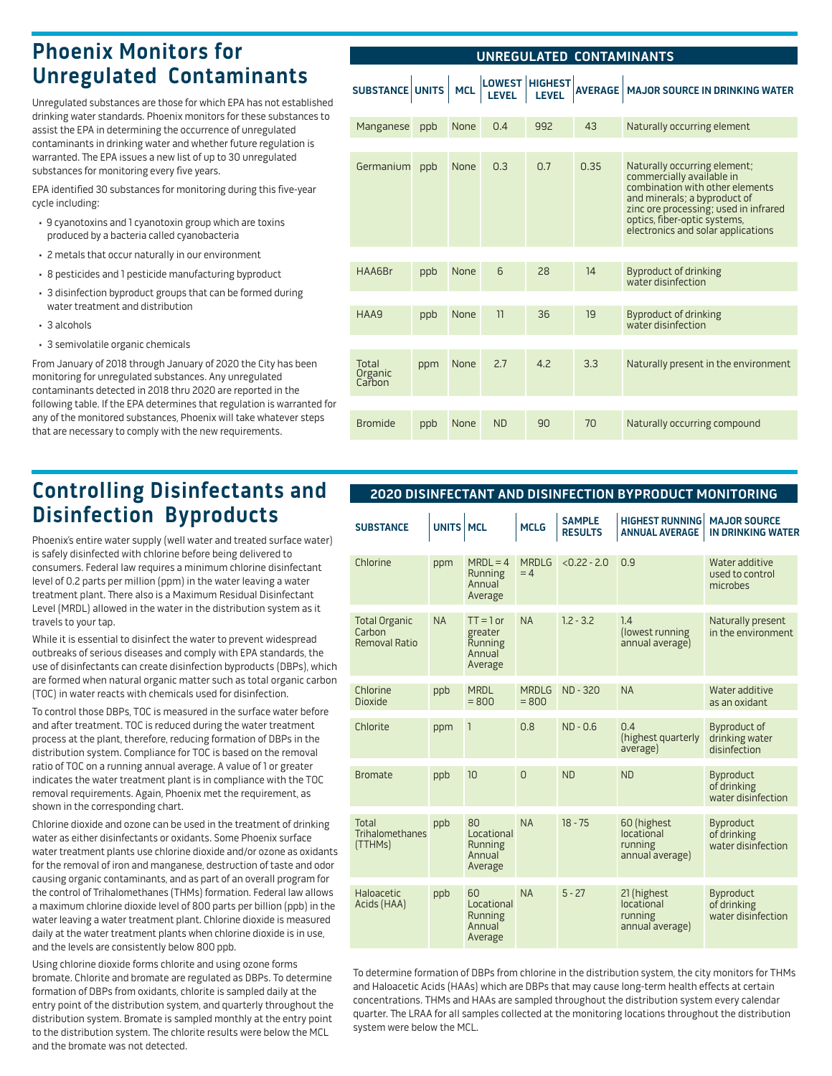# **Phoenix Monitors for Unregulated Contaminants**

Unregulated substances are those for which EPA has not established drinking water standards. Phoenix monitors for these substances to assist the EPA in determining the occurrence of unregulated contaminants in drinking water and whether future regulation is warranted. The EPA issues a new list of up to 30 unregulated substances for monitoring every five years.

EPA identified 30 substances for monitoring during this five-year cycle including:

- 9 cyanotoxins and 1 cyanotoxin group which are toxins produced by a bacteria called cyanobacteria
- 2 metals that occur naturally in our environment
- 8 pesticides and 1 pesticide manufacturing byproduct
- 3 disinfection byproduct groups that can be formed during water treatment and distribution
- 3 alcohols
- 3 semivolatile organic chemicals

From January of 2018 through January of 2020 the City has been monitoring for unregulated substances. Any unregulated contaminants detected in 2018 thru 2020 are reported in the following table. If the EPA determines that regulation is warranted for any of the monitored substances, Phoenix will take whatever steps that are necessary to comply with the new requirements.

# **Controlling Disinfectants and Disinfection Byproducts**

Phoenix's entire water supply (well water and treated surface water) is safely disinfected with chlorine before being delivered to consumers. Federal law requires a minimum chlorine disinfectant level of 0.2 parts per million (ppm) in the water leaving a water treatment plant. There also is a Maximum Residual Disinfectant Level (MRDL) allowed in the water in the distribution system as it travels to your tap.

While it is essential to disinfect the water to prevent widespread outbreaks of serious diseases and comply with EPA standards, the use of disinfectants can create disinfection byproducts (DBPs), which are formed when natural organic matter such as total organic carbon (TOC) in water reacts with chemicals used for disinfection.

To control those DBPs, TOC is measured in the surface water before and after treatment. TOC is reduced during the water treatment process at the plant, therefore, reducing formation of DBPs in the distribution system. Compliance for TOC is based on the removal ratio of TOC on a running annual average. A value of 1 or greater indicates the water treatment plant is in compliance with the TOC removal requirements. Again, Phoenix met the requirement, as shown in the corresponding chart.

Chlorine dioxide and ozone can be used in the treatment of drinking water as either disinfectants or oxidants. Some Phoenix surface water treatment plants use chlorine dioxide and/or ozone as oxidants for the removal of iron and manganese, destruction of taste and odor causing organic contaminants, and as part of an overall program for the control of Trihalomethanes (THMs) formation. Federal law allows a maximum chlorine dioxide level of 800 parts per billion (ppb) in the water leaving a water treatment plant. Chlorine dioxide is measured daily at the water treatment plants when chlorine dioxide is in use, and the levels are consistently below 800 ppb.

Using chlorine dioxide forms chlorite and using ozone forms bromate. Chlorite and bromate are regulated as DBPs. To determine formation of DBPs from oxidants, chlorite is sampled daily at the entry point of the distribution system, and quarterly throughout the distribution system. Bromate is sampled monthly at the entry point to the distribution system. The chlorite results were below the MCL and the bromate was not detected.

| UNREGULATED CONTAMINANTS   |     |            |           |                                      |                |                                                                                                                                                                                                                                             |  |  |
|----------------------------|-----|------------|-----------|--------------------------------------|----------------|---------------------------------------------------------------------------------------------------------------------------------------------------------------------------------------------------------------------------------------------|--|--|
| <b>SUBSTANCE UNITS</b>     |     | <b>MCL</b> |           | LOWEST  HIGHEST  <br>  LEVEL   LEVEL | <b>AVERAGE</b> | <b>MAJOR SOURCE IN DRINKING WATER</b>                                                                                                                                                                                                       |  |  |
| Manganese                  | ppb | None       | 0.4       | 992                                  | 43             | Naturally occurring element                                                                                                                                                                                                                 |  |  |
|                            |     |            |           |                                      |                |                                                                                                                                                                                                                                             |  |  |
| Germanium                  | ppb | None       | 0.3       | 0.7                                  | 0.35           | Naturally occurring element;<br>commercially available in<br>combination with other elements<br>and minerals; a byproduct of<br>zinc ore processing; used in infrared<br>optics, fiber-optic systems,<br>electronics and solar applications |  |  |
|                            |     |            |           |                                      |                |                                                                                                                                                                                                                                             |  |  |
| <b>HAA6Br</b>              | ppb | None       | 6         | 28                                   | 14             | <b>Byproduct of drinking</b><br>water disinfection                                                                                                                                                                                          |  |  |
|                            |     |            |           |                                      |                |                                                                                                                                                                                                                                             |  |  |
| HAA9                       | ppb | None       | 11        | 36                                   | 19             | <b>Byproduct of drinking</b><br>water disinfection                                                                                                                                                                                          |  |  |
|                            |     |            |           |                                      |                |                                                                                                                                                                                                                                             |  |  |
| Total<br>Organic<br>Carbon | ppm | None       | 2.7       | 4.2                                  | 3.3            | Naturally present in the environment                                                                                                                                                                                                        |  |  |
|                            |     |            |           |                                      |                |                                                                                                                                                                                                                                             |  |  |
| <b>Bromide</b>             | ppb | None       | <b>ND</b> | 90                                   | 70             | Naturally occurring compound                                                                                                                                                                                                                |  |  |

#### **2020 DISINFECTANT AND DISINFECTION BYPRODUCT MONITORING**

| <b>SUBSTANCE</b>                                       | UNITS MCL |                                                        | <b>MCLG</b>             | <b>SAMPLE</b><br><b>RESULTS</b> | <b>HIGHEST RUNNING</b><br><b>ANNUAL AVERAGE</b>         | <b>MAJOR SOURCE</b><br><b>IN DRINKING WATER</b>       |
|--------------------------------------------------------|-----------|--------------------------------------------------------|-------------------------|---------------------------------|---------------------------------------------------------|-------------------------------------------------------|
| Chlorine                                               | ppm       | $MRDL = 4$<br>Running<br>Annual<br>Average             | <b>MRDIG</b><br>$= 4$   | $< 0.22 - 2.0$                  | 0.9                                                     | Water additive<br>used to control<br>microbes         |
| <b>Total Organic</b><br>Carbon<br><b>Removal Ratio</b> | <b>NA</b> | $TT = 1$ or<br>greater<br>Running<br>Annual<br>Average | <b>NA</b>               | $1.2 - 3.2$                     | 1.4<br>(lowest running<br>annual average)               | Naturally present<br>in the environment               |
| Chlorine<br><b>Dioxide</b>                             | ppb       | <b>MRDL</b><br>$= 800$                                 | <b>MRDIG</b><br>$= 800$ | <b>ND-320</b>                   | <b>NA</b>                                               | Water additive<br>as an oxidant                       |
| Chlorite                                               | ppm       | 1                                                      | 0.8                     | $ND - 0.6$                      | 0.4<br>(highest quarterly<br>average)                   | <b>Byproduct of</b><br>drinking water<br>disinfection |
| <b>Bromate</b>                                         | ppb       | 10                                                     | $\Omega$                | <b>ND</b>                       | <b>ND</b>                                               | <b>Byproduct</b><br>of drinking<br>water disinfection |
| Total<br>Trihalomethanes<br>(TTHMs)                    | ppb       | 80<br>Locational<br>Running<br>Annual<br>Average       | <b>NA</b>               | $18 - 75$                       | 60 (highest<br>locational<br>running<br>annual average) | Byproduct<br>of drinking<br>water disinfection        |
| Haloacetic<br>Acids (HAA)                              | ppb       | 60<br>Locational<br>Running<br>Annual<br>Average       | <b>NA</b>               | $5 - 27$                        | 21 (highest<br>locational<br>running<br>annual average) | Byproduct<br>of drinking<br>water disinfection        |

To determine formation of DBPs from chlorine in the distribution system, the city monitors for THMs and Haloacetic Acids (HAAs) which are DBPs that may cause long-term health effects at certain concentrations. THMs and HAAs are sampled throughout the distribution system every calendar quarter. The LRAA for all samples collected at the monitoring locations throughout the distribution system were below the MCL.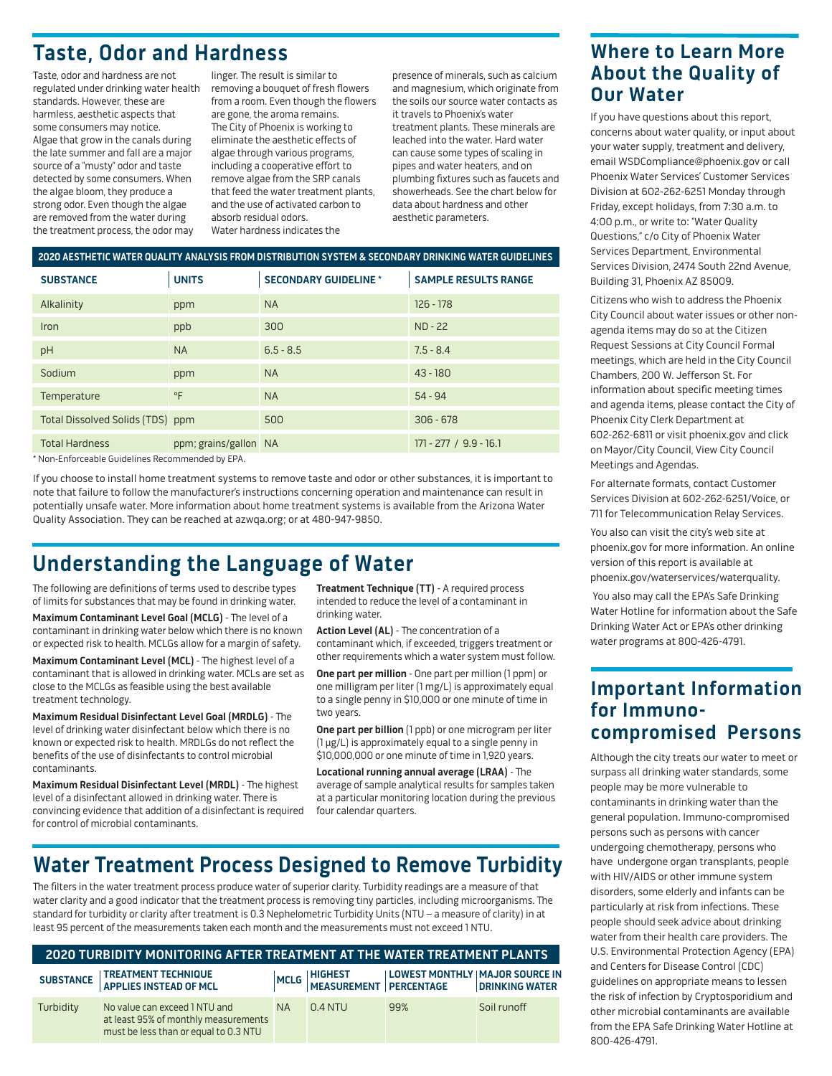# **Taste, Odor and Hardness**

Taste, odor and hardness are not regulated under drinking water health standards. However, these are harmless, aesthetic aspects that some consumers may notice. Algae that grow in the canals during the late summer and fall are a major source of a "musty" odor and taste detected by some consumers. When the algae bloom, they produce a strong odor. Even though the algae are removed from the water during the treatment process, the odor may

linger. The result is similar to removing a bouquet of fresh flowers from a room. Even though the flowers are gone, the aroma remains. The City of Phoenix is working to eliminate the aesthetic effects of algae through various programs, including a cooperative effort to remove algae from the SRP canals that feed the water treatment plants, and the use of activated carbon to absorb residual odors. Water hardness indicates the

presence of minerals, such as calcium and magnesium, which originate from the soils our source water contacts as it travels to Phoenix's water treatment plants. These minerals are leached into the water. Hard water can cause some types of scaling in pipes and water heaters, and on plumbing fixtures such as faucets and showerheads. See the chart below for data about hardness and other aesthetic parameters.

| 2020 AESTHETIC WATER QUALITY ANALYSIS FROM DISTRIBUTION SYSTEM & SECONDARY DRINKING WATER GUIDELINES |                       |                              |                             |  |  |  |  |  |
|------------------------------------------------------------------------------------------------------|-----------------------|------------------------------|-----------------------------|--|--|--|--|--|
| <b>SUBSTANCE</b>                                                                                     | <b>UNITS</b>          | <b>SECONDARY GUIDELINE *</b> | <b>SAMPLE RESULTS RANGE</b> |  |  |  |  |  |
| Alkalinity                                                                                           | ppm                   | <b>NA</b>                    | $126 - 178$                 |  |  |  |  |  |
| Iron                                                                                                 | ppb                   | 300                          | $ND - 22$                   |  |  |  |  |  |
| pH                                                                                                   | <b>NA</b>             | $6.5 - 8.5$                  | $7.5 - 8.4$                 |  |  |  |  |  |
| Sodium                                                                                               | ppm                   | <b>NA</b>                    | $43 - 180$                  |  |  |  |  |  |
| Temperature                                                                                          | $^{\circ}$ F          | <b>NA</b>                    | $54 - 94$                   |  |  |  |  |  |
| Total Dissolved Solids (TDS) ppm                                                                     |                       | 500                          | $306 - 678$                 |  |  |  |  |  |
| <b>Total Hardness</b>                                                                                | ppm; grains/gallon NA |                              | $171 - 277 / 9.9 - 16.1$    |  |  |  |  |  |

\* Non-Enforceable Guidelines Recommended by EPA.

If you choose to install home treatment systems to remove taste and odor or other substances, it is important to note that failure to follow the manufacturer's instructions concerning operation and maintenance can result in potentially unsafe water. More information about home treatment systems is available from the Arizona Water Quality Association. They can be reached at azwga.org; or at 480-947-9850.

# **Understanding the Language of Water**

The following are definitions of terms used to describe types of limits for substances that may be found in drinking water.

**Maximum Contaminant Level Goal (MCLG)** - The level of a contaminant in drinking water below which there is no known or expected risk to health. MCLGs allow for a margin of safety.

Maximum Contaminant Level (MCL) - The highest level of a contaminant that is allowed in drinking water. MCLs are set as close to the MCLGs as feasible using the best available treatment technology.

**Maximum Residual Disinfectant Level Goal (MRDLG)** - The level of drinking water disinfectant below which there is no known or expected risk to health. MRDLGs do not reflect the benefits of the use of disinfectants to control microbial contaminants.

Maximum Residual Disinfectant Level (MRDL) - The highest level of a disinfectant allowed in drinking water. There is convincing evidence that addition of a disinfectant is required for control of microbial contaminants.

**Treatment Technique (TT)** - A required process intended to reduce the level of a contaminant in drinking water.

**Action Level (AL)** - The concentration of a contaminant which, if exceeded, triggers treatment or other requirements which a water system must follow.

**One part per million** - One part per million (1 ppm) or one milligram per liter (1 mg/L) is approximately equal to a single penny in \$10,000 or one minute of time in two years.

**One part per billion** (1 ppb) or one microgram per liter (1 µg/L) is approximately equal to a single penny in \$10,000,000 or one minute of time in 1,920 years.

**Locational running annual average (LRAA)** - The average of sample analytical results for samples taken at a particular monitoring location during the previous four calendar quarters.

## **Water Treatment Process Designed to Remove Turbidity**

The filters in the water treatment process produce water of superior clarity. Turbidity readings are a measure of that water clarity and a good indicator that the treatment process is removing tiny particles, including microorganisms. The standard for turbidity or clarity after treatment is 0.3 Nephelometric Turbidity Units (NTU – a measure of clarity) in at least 95 percent of the measurements taken each month and the measurements must not exceed 1 NTU.

| 2020 TURBIDITY MONITORING AFTER TREATMENT AT THE WATER TREATMENT PLANTS |                                                                                                                |           |           |                                                                                                  |             |  |  |  |  |  |
|-------------------------------------------------------------------------|----------------------------------------------------------------------------------------------------------------|-----------|-----------|--------------------------------------------------------------------------------------------------|-------------|--|--|--|--|--|
|                                                                         | SUBSTANCE   TREATMENT TECHNIQUE<br>  APPLIES INSTEAD OF MCL                                                    |           |           | MCLG   HIGHEST   LOWEST MONTHLY   MAJOR SOURCE IN<br>  MEASUREMENT   PERCENTAGE   DRINKING WATER |             |  |  |  |  |  |
| Turbidity                                                               | No value can exceed 1 NTU and<br>at least 95% of monthly measurements<br>must be less than or equal to 0.3 NTU | <b>NA</b> | $0.4$ NTU | 99%                                                                                              | Soil runoff |  |  |  |  |  |

#### **Where to Learn More About the Quality of Our Water**

If you have questions about this report, concerns about water quality, or input about your water supply, treatment and delivery, email WSDCompliance@phoenix.gov or call Phoenix Water Services' Customer Services Division at 602-262-6251 Monday through Friday, except holidays, from 7:30 a.m. to 4:00 p.m., or write to: "Water Quality Questions," c/o City of Phoenix Water Services Department, Environmental Services Division, 2474 South 22nd Avenue, Building 31, Phoenix AZ 85009.

Citizens who wish to address the Phoenix City Council about water issues or other nonagenda items may do so at the Citizen Request Sessions at City Council Formal meetings, which are held in the City Council Chambers, 200 W. Jefferson St. For information about specific meeting times and agenda items, please contact the City of Phoenix City Clerk Department at 602-262-6811 or visit phoenix.gov and click on Mayor/City Council, View City Council Meetings and Agendas.

For alternate formats, contact Customer Services Division at 602-262-6251/Voice, or 711 for Telecommunication Relay Services.

You also can visit the city's web site at phoenix.gov for more information. An online version of this report is available at phoenix.gov/waterservices/waterquality.

 You also may call the EPA's Safe Drinking Water Hotline for information about the Safe Drinking Water Act or EPA's other drinking water programs at 800-426-4791.

#### **Important Information for Immunocompromised Persons**

Although the city treats our water to meet or surpass all drinking water standards, some people may be more vulnerable to contaminants in drinking water than the general population. Immuno-compromised persons such as persons with cancer undergoing chemotherapy, persons who have undergone organ transplants, people with HIV/AIDS or other immune system disorders, some elderly and infants can be particularly at risk from infections. These people should seek advice about drinking water from their health care providers. The U.S. Environmental Protection Agency (EPA) and Centers for Disease Control (CDC) guidelines on appropriate means to lessen the risk of infection by Cryptosporidium and other microbial contaminants are available from the EPA Safe Drinking Water Hotline at 800-426-4791.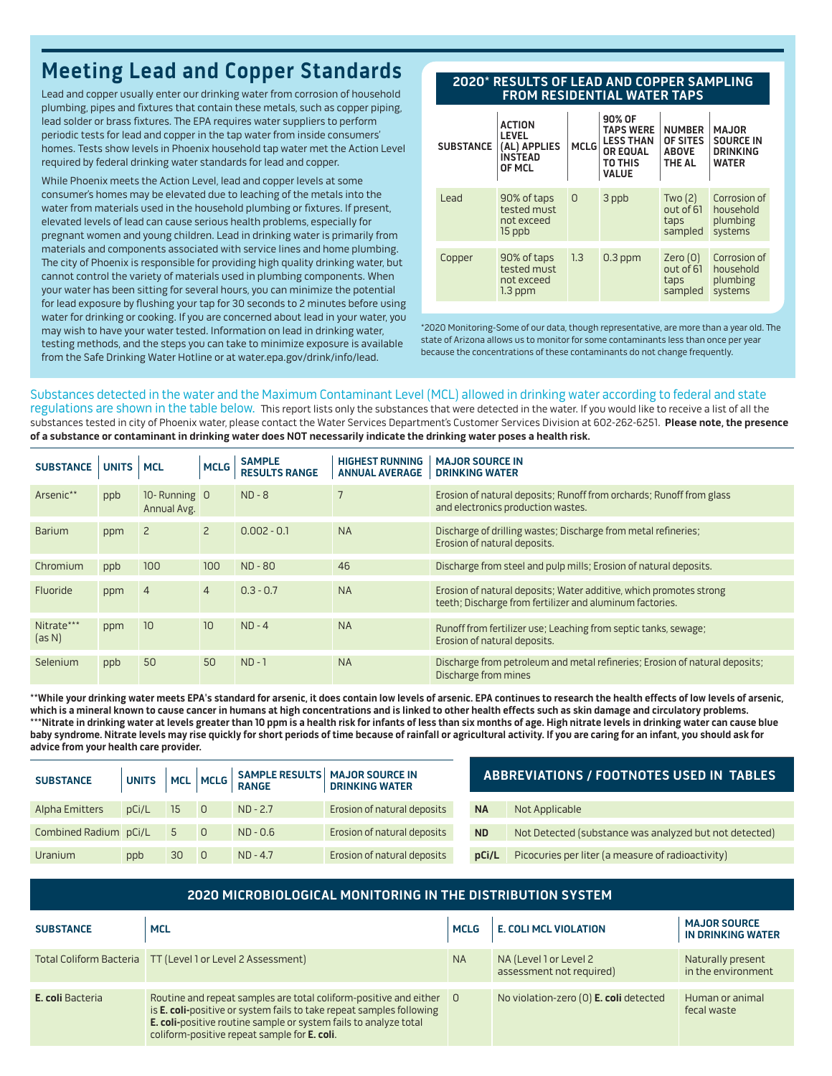# **Meeting Lead and Copper Standards**

Lead and copper usually enter our drinking water from corrosion of household plumbing, pipes and fixtures that contain these metals, such as copper piping, lead solder or brass fixtures. The EPA requires water suppliers to perform periodic tests for lead and copper in the tap water from inside consumers' homes. Tests show levels in Phoenix household tap water met the Action Level required by federal drinking water standards for lead and copper.

While Phoenix meets the Action Level, lead and copper levels at some consumer's homes may be elevated due to leaching of the metals into the water from materials used in the household plumbing or fixtures. If present, elevated levels of lead can cause serious health problems, especially for pregnant women and young children. Lead in drinking water is primarily from materials and components associated with service lines and home plumbing. The city of Phoenix is responsible for providing high quality drinking water, but cannot control the variety of materials used in plumbing components. When your water has been sitting for several hours, you can minimize the potential for lead exposure by flushing your tap for 30 seconds to 2 minutes before using water for drinking or cooking. If you are concerned about lead in your water, you may wish to have your water tested. Information on lead in drinking water, testing methods, and the steps you can take to minimize exposure is available from the Safe Drinking Water Hotline or at water.epa.gov/drink/info/lead.

#### **2020\* RESULTS OF LEAD AND COPPER SAMPLING FROM RESIDENTIAL WATER TAPS**

| <b>SUBSTANCE</b> | <b>ACTION</b><br><b>LEVEL</b><br>(AL) APPLIES<br><b>INSTEAD</b><br>OF MCL | <b>MCLG</b>  | 90% OF<br><b>TAPS WERE</b><br><b>LESS THAN</b><br><b>OR EQUAL</b><br>TO THIS<br><b>VALUE</b> | <b>NUMBER</b><br>OF SITES<br><b>ABOVE</b><br><b>THE AL</b> | <b>MAJOR</b><br><b>SOURCE IN</b><br><b>DRINKING</b><br><b>WATER</b> |
|------------------|---------------------------------------------------------------------------|--------------|----------------------------------------------------------------------------------------------|------------------------------------------------------------|---------------------------------------------------------------------|
| Lead             | 90% of taps<br>tested must<br>not exceed<br>15 ppb                        | $\mathbf{0}$ | 3 ppb                                                                                        | Two $(2)$<br>out of 61<br>taps<br>sampled                  | Corrosion of<br>household<br>plumbing<br>systems                    |
| Copper           | 90% of taps<br>tested must<br>not exceed<br>$1.3$ ppm                     | 1.3          | $0.3$ ppm                                                                                    | Zero $(0)$<br>out of 61<br>taps<br>sampled                 | Corrosion of<br>household<br>plumbing<br>systems                    |

\*2020 Monitoring-Some of our data, though representative, are more than a year old. The state of Arizona allows us to monitor for some contaminants less than once per year because the concentrations of these contaminants do not change frequently.

#### Substances detected in the water and the Maximum Contaminant Level (MCL) allowed in drinking water according to federal and state

regulations are shown in the table below. This report lists only the substances that were detected in the water. If you would like to receive a list of all the substances tested in city of Phoenix water, please contact the Water Services Department's Customer Services Division at 602-262-6251. **Please note, the presence of a substance or contaminant in drinking water does NOT necessarily indicate the drinking water poses a health risk.**

| <b>SUBSTANCE</b>     | <b>UNITS</b> | <b>MCL</b>                  | <b>MCLG</b>    | <b>SAMPLE</b><br><b>RESULTS RANGE</b> | <b>HIGHEST RUNNING</b><br><b>ANNUAL AVERAGE</b> | <b>MAJOR SOURCE IN</b><br><b>DRINKING WATER</b>                                                                                |
|----------------------|--------------|-----------------------------|----------------|---------------------------------------|-------------------------------------------------|--------------------------------------------------------------------------------------------------------------------------------|
| Arsenic**            | ppb          | 10-Running 0<br>Annual Avg. |                | $ND - 8$                              |                                                 | Erosion of natural deposits; Runoff from orchards; Runoff from glass<br>and electronics production wastes.                     |
| Barium               | ppm          | $\overline{2}$              | $\overline{2}$ | $0.002 - 0.1$                         | <b>NA</b>                                       | Discharge of drilling wastes; Discharge from metal refineries;<br>Erosion of natural deposits.                                 |
| Chromium             | ppb          | 100                         | 100            | $ND - 80$                             | 46                                              | Discharge from steel and pulp mills; Erosion of natural deposits.                                                              |
| Fluoride             | ppm          | $\overline{4}$              | $\overline{4}$ | $0.3 - 0.7$                           | <b>NA</b>                                       | Erosion of natural deposits; Water additive, which promotes strong<br>teeth; Discharge from fertilizer and aluminum factories. |
| Nitrate***<br>(as N) | ppm          | 10                          | 10             | $ND - 4$                              | <b>NA</b>                                       | Runoff from fertilizer use; Leaching from septic tanks, sewage;<br>Erosion of natural deposits.                                |
| Selenium             | ppb          | 50                          | 50             | $ND - 1$                              | <b>NA</b>                                       | Discharge from petroleum and metal refineries; Erosion of natural deposits;<br>Discharge from mines                            |

**\*\*While your drinking water meets EPA's standard for arsenic, it does contain low levels of arsenic. EPA continues to research the health effects of low levels of arsenic, which is a mineral known to cause cancer in humans at high concentrations and is linked to other health effects such as skin damage and circulatory problems. \*\*\*Nitrate in drinking water at levels greater than 10 ppm is a health risk for infants of less than six months of age. High nitrate levels in drinking water can cause blue baby syndrome. Nitrate levels may rise quickly for short periods of time because of rainfall or agricultural activity. If you are caring for an infant, you should ask for advice from your health care provider.**

| <b>SUBSTANCE</b>      |       |    |                |            | UNITS   MCL   MCLG   SAMPLE RESULTS   MAJOR SOURCE IN<br>  DRINKING WATER<br><b>DRINKING WATER</b> | <b>ABBREVIATIONS / FOOTNOTES USED IN TABLES</b> |                                                        |  |
|-----------------------|-------|----|----------------|------------|----------------------------------------------------------------------------------------------------|-------------------------------------------------|--------------------------------------------------------|--|
| Alpha Emitters        | pCi/L | 15 | - 0            | $ND - 2.7$ | Erosion of natural deposits                                                                        | <b>NA</b>                                       | Not Applicable                                         |  |
| Combined Radium pCi/L |       | 5  | $\overline{0}$ | $ND - 0.6$ | Erosion of natural deposits                                                                        | <b>ND</b>                                       | Not Detected (substance was analyzed but not detected) |  |
| Uranium               | ppb   | 30 | $\overline{0}$ | $ND - 4.7$ | Erosion of natural deposits                                                                        | pCi/L                                           | Picocuries per liter (a measure of radioactivity)      |  |

| 2020 MICROBIOLOGICAL MONITORING IN THE DISTRIBUTION SYSTEM |                                                                                                                                                                                                                                                               |             |                                                    |                                          |  |  |  |  |  |
|------------------------------------------------------------|---------------------------------------------------------------------------------------------------------------------------------------------------------------------------------------------------------------------------------------------------------------|-------------|----------------------------------------------------|------------------------------------------|--|--|--|--|--|
| <b>SUBSTANCE</b>                                           | <b>MCL</b>                                                                                                                                                                                                                                                    | <b>MCLG</b> | <b>E. COLI MCL VIOLATION</b>                       | <b>MAJOR SOURCE</b><br>IN DRINKING WATER |  |  |  |  |  |
|                                                            | Total Coliform Bacteria TT (Level 1 or Level 2 Assessment)                                                                                                                                                                                                    | <b>NA</b>   | NA (Level 1 or Level 2<br>assessment not required) | Naturally present<br>in the environment  |  |  |  |  |  |
| E. coli Bacteria                                           | Routine and repeat samples are total coliform-positive and either<br>is E. coli-positive or system fails to take repeat samples following<br>E. coli-positive routine sample or system fails to analyze total<br>coliform-positive repeat sample for E. coli. | $\Box$      | No violation-zero (0) <b>E. coli</b> detected      | Human or animal<br>fecal waste           |  |  |  |  |  |